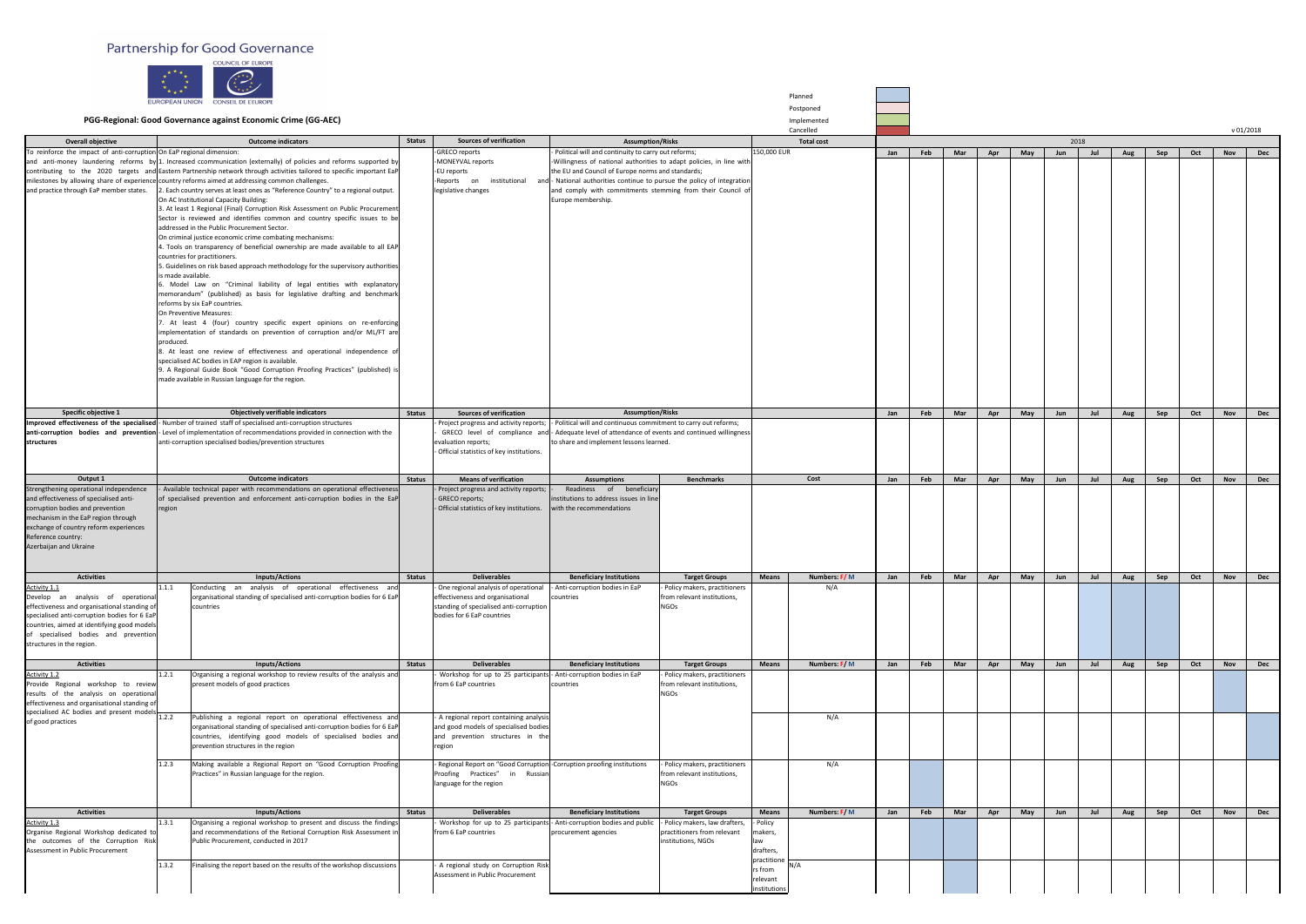## Partnership for Good Governance



|                                                                                                                                                                                                                                                                               | $\left(\begin{array}{c} x \\ x \\ x + x \end{array}\right)$<br>一大<br>$\star$ $\star$<br>$\star \star \star$<br>EUROPEAN UNION<br><b>CONSEIL DE L'EUROPE</b><br>PGG-Regional: Good Governance against Economic Crime (GG-AEC)                                                                                                                                                                                                                                                                                                                                                                                                                                                                                                                                                                                                                                                                                                                                                                                                                                                                                                                                                                                                                                                                                                                                                                                                                                                                                                                                                                                                                                                    |               |                                                                                                                                                                                |                                                                                                                                                                                                                                                                                                                                                                           |                                                                                  |                                                 | Planned<br>Postponed<br>Implemented |     |     |            |     |            |      |     |     |     |     |            |            |
|-------------------------------------------------------------------------------------------------------------------------------------------------------------------------------------------------------------------------------------------------------------------------------|---------------------------------------------------------------------------------------------------------------------------------------------------------------------------------------------------------------------------------------------------------------------------------------------------------------------------------------------------------------------------------------------------------------------------------------------------------------------------------------------------------------------------------------------------------------------------------------------------------------------------------------------------------------------------------------------------------------------------------------------------------------------------------------------------------------------------------------------------------------------------------------------------------------------------------------------------------------------------------------------------------------------------------------------------------------------------------------------------------------------------------------------------------------------------------------------------------------------------------------------------------------------------------------------------------------------------------------------------------------------------------------------------------------------------------------------------------------------------------------------------------------------------------------------------------------------------------------------------------------------------------------------------------------------------------|---------------|--------------------------------------------------------------------------------------------------------------------------------------------------------------------------------|---------------------------------------------------------------------------------------------------------------------------------------------------------------------------------------------------------------------------------------------------------------------------------------------------------------------------------------------------------------------------|----------------------------------------------------------------------------------|-------------------------------------------------|-------------------------------------|-----|-----|------------|-----|------------|------|-----|-----|-----|-----|------------|------------|
|                                                                                                                                                                                                                                                                               |                                                                                                                                                                                                                                                                                                                                                                                                                                                                                                                                                                                                                                                                                                                                                                                                                                                                                                                                                                                                                                                                                                                                                                                                                                                                                                                                                                                                                                                                                                                                                                                                                                                                                 |               | <b>Sources of verification</b>                                                                                                                                                 |                                                                                                                                                                                                                                                                                                                                                                           |                                                                                  |                                                 | Cancelled                           |     |     |            |     |            |      |     |     |     |     |            | v 01/2018  |
| <b>Overall objective</b><br>To reinforce the impact of anti-corruption On EaP regional dimension:                                                                                                                                                                             | <b>Outcome indicators</b>                                                                                                                                                                                                                                                                                                                                                                                                                                                                                                                                                                                                                                                                                                                                                                                                                                                                                                                                                                                                                                                                                                                                                                                                                                                                                                                                                                                                                                                                                                                                                                                                                                                       | <b>Status</b> | -GRECO reports                                                                                                                                                                 | <b>Assumption/Risks</b>                                                                                                                                                                                                                                                                                                                                                   |                                                                                  | 150,000 EUR                                     | <b>Total cost</b>                   | Jan | Feb | <b>Mar</b> | Apr |            | 2018 | Jul | Aug | Sep | Oct | <b>Nov</b> | <b>Dec</b> |
|                                                                                                                                                                                                                                                                               | and anti-money laundering reforms by 1. Increased ccommunication (externally) of policies and reforms supported by<br>contributing to the 2020 targets and Eastern Partnership network through activities tailored to specific important EaP<br>milestones by allowing share of experience country reforms aimed at addressing common challenges.<br>and practice through EaP member states. 2. Each country serves at least ones as "Reference Country" to a regional output.<br>On AC Institutional Capacity Building:<br>3. At least 1 Regional (Final) Corruption Risk Assessment on Public Procurement<br>Sector is reviewed and identifies common and country specific issues to be<br>addressed in the Public Procurement Sector.<br>On criminal justice economic crime combating mechanisms:<br>4. Tools on transparency of beneficial ownership are made available to all EAP<br>countries for practitioners.<br>5. Guidelines on risk based approach methodology for the supervisory authorities<br>s made available.<br>Model Law on "Criminal liability of legal entities with explanatory<br>memorandum" (published) as basis for legislative drafting and benchmark<br>reforms by six EaP countries.<br>On Preventive Measures:<br>At least 4 (four) country specific expert opinions on re-enforcing<br>implementation of standards on prevention of corruption and/or ML/FT are<br>produced.<br>At least one review of effectiveness and operational independence of<br>specialised AC bodies in EAP region is available.<br>9. A Regional Guide Book "Good Corruption Proofing Practices" (published) is<br>made available in Russian language for the region. |               | -MONEYVAL reports<br>-EU reports<br>legislative changes                                                                                                                        | Political will and continuity to carry out reforms;<br>-Willingness of national authorities to adapt policies, in line with<br>the EU and Council of Europe norms and standards;<br>-Reports on institutional and - National authorities continue to pursue the policy of integration<br>and comply with commitments stemming from their Council of<br>Europe membership. |                                                                                  |                                                 |                                     |     |     |            |     | May        | Jun  |     |     |     |     |            |            |
| Specific objective 1                                                                                                                                                                                                                                                          | <b>Objectively verifiable indicators</b>                                                                                                                                                                                                                                                                                                                                                                                                                                                                                                                                                                                                                                                                                                                                                                                                                                                                                                                                                                                                                                                                                                                                                                                                                                                                                                                                                                                                                                                                                                                                                                                                                                        |               |                                                                                                                                                                                | <b>Assumption/Risks</b>                                                                                                                                                                                                                                                                                                                                                   |                                                                                  |                                                 |                                     |     |     |            |     |            |      |     |     |     |     |            |            |
| structures                                                                                                                                                                                                                                                                    | Improved effectiveness of the specialised - Number of trained staff of specialised anti-corruption structures<br>anti-corruption bodies and prevention - Level of implementation of recommendations provided in connection with the<br>anti-corruption specialised bodies/prevention structures                                                                                                                                                                                                                                                                                                                                                                                                                                                                                                                                                                                                                                                                                                                                                                                                                                                                                                                                                                                                                                                                                                                                                                                                                                                                                                                                                                                 | <b>Status</b> | <b>Sources of verification</b><br>Project progress and activity reports;<br>evaluation reports;<br>- Official statistics of key institutions.                                  | - Political will and continuous commitment to carry out reforms;<br>GRECO level of compliance and - Adequate level of attendance of events and continued willingness<br>to share and implement lessons learned.                                                                                                                                                           |                                                                                  |                                                 |                                     | Jan | Feb | Mar        | Apr | May        | Jun  | Jul | Aug | Sep | Oct | <b>Nov</b> | <b>Dec</b> |
| Output 1                                                                                                                                                                                                                                                                      | <b>Outcome indicators</b>                                                                                                                                                                                                                                                                                                                                                                                                                                                                                                                                                                                                                                                                                                                                                                                                                                                                                                                                                                                                                                                                                                                                                                                                                                                                                                                                                                                                                                                                                                                                                                                                                                                       | <b>Status</b> | <b>Means of verification</b>                                                                                                                                                   | <b>Assumptions</b>                                                                                                                                                                                                                                                                                                                                                        | <b>Benchmarks</b>                                                                |                                                 | Cost                                | Jan | Feb | Mar        | Apr | May        | Jun  | Jul | Aug | Sep | Oct | <b>Nov</b> | <b>Dec</b> |
| Strengthening operational independence<br>and effectiveness of specialised anti-<br>corruption bodies and prevention<br>mechanism in the EaP region through<br>exchange of country reform experiences<br>Reference country:<br>Azerbaijan and Ukraine                         | Available technical paper with recommendations on operational effectiveness<br>of specialised prevention and enforcement anti-corruption bodies in the EaP<br>region                                                                                                                                                                                                                                                                                                                                                                                                                                                                                                                                                                                                                                                                                                                                                                                                                                                                                                                                                                                                                                                                                                                                                                                                                                                                                                                                                                                                                                                                                                            |               | Project progress and activity reports;<br>- GRECO reports;<br>- Official statistics of key institutions.                                                                       | Readiness of beneficiary<br>institutions to address issues in line<br>with the recommendations                                                                                                                                                                                                                                                                            |                                                                                  |                                                 |                                     |     |     |            |     |            |      |     |     |     |     |            |            |
| <b>Activities</b>                                                                                                                                                                                                                                                             | <b>Inputs/Actions</b>                                                                                                                                                                                                                                                                                                                                                                                                                                                                                                                                                                                                                                                                                                                                                                                                                                                                                                                                                                                                                                                                                                                                                                                                                                                                                                                                                                                                                                                                                                                                                                                                                                                           | <b>Status</b> | <b>Deliverables</b>                                                                                                                                                            | <b>Beneficiary Institutions</b>                                                                                                                                                                                                                                                                                                                                           | <b>Target Groups</b>                                                             | <b>Means</b>                                    | Numbers: F/M                        | Jan | Feb | Mar        | Apr | May        | Jun  | Jul | Aug | Sep | Oct | <b>Nov</b> | <b>Dec</b> |
| <b>Activity 1.1</b><br>Develop an analysis of operational<br>effectiveness and organisational standing of<br>specialised anti-corruption bodies for 6 EaP<br>countries, aimed at identifying good models<br>of specialised bodies and prevention<br>structures in the region. | Conducting an analysis of operational effectiveness and<br>1.1.1<br>organisational standing of specialised anti-corruption bodies for 6 EaP<br>countries                                                                                                                                                                                                                                                                                                                                                                                                                                                                                                                                                                                                                                                                                                                                                                                                                                                                                                                                                                                                                                                                                                                                                                                                                                                                                                                                                                                                                                                                                                                        |               | One regional analysis of operationa<br>effectiveness and organisational<br>standing of specialised anti-corruption<br>bodies for 6 EaP countries                               | Anti-corruption bodies in EaP<br>countries                                                                                                                                                                                                                                                                                                                                | Policy makers, practitioners<br>from relevant institutions,<br><b>NGOs</b>       |                                                 | N/A                                 |     |     |            |     |            |      |     |     |     |     |            |            |
| <b>Activities</b>                                                                                                                                                                                                                                                             | <b>Inputs/Actions</b>                                                                                                                                                                                                                                                                                                                                                                                                                                                                                                                                                                                                                                                                                                                                                                                                                                                                                                                                                                                                                                                                                                                                                                                                                                                                                                                                                                                                                                                                                                                                                                                                                                                           | <b>Status</b> | <b>Deliverables</b>                                                                                                                                                            | <b>Beneficiary Institutions</b>                                                                                                                                                                                                                                                                                                                                           | <b>Target Groups</b>                                                             | <b>Means</b>                                    | Numbers: F/M                        | Jan | Feb | Mar        | Apr | <b>May</b> | Jun  | Jul | Aug | Sep | Oct | <b>Nov</b> | <b>Dec</b> |
| <b>Activity 1.2</b><br>Provide Regional workshop to review<br>results of the analysis on operational<br>effectiveness and organisational standing of<br>specialised AC bodies and present models 1.2.2<br>of good practices                                                   | 1.2.1<br>Organising a regional workshop to review results of the analysis and<br>present models of good practices<br>Publishing a regional report on operational effectiveness and<br>organisational standing of specialised anti-corruption bodies for 6 EaP                                                                                                                                                                                                                                                                                                                                                                                                                                                                                                                                                                                                                                                                                                                                                                                                                                                                                                                                                                                                                                                                                                                                                                                                                                                                                                                                                                                                                   |               | Workshop for up to 25 participants - Anti-corruption bodies in EaP<br>from 6 EaP countries<br>- A regional report containing analysis<br>and good models of specialised bodies | countries                                                                                                                                                                                                                                                                                                                                                                 | - Policy makers, practitioners<br>from relevant institutions,<br><b>NGOs</b>     |                                                 | N/A                                 |     |     |            |     |            |      |     |     |     |     |            |            |
|                                                                                                                                                                                                                                                                               | countries, identifying good models of specialised bodies and<br>prevention structures in the region<br>Making available a Regional Report on "Good Corruption Proofing<br>1.2.3                                                                                                                                                                                                                                                                                                                                                                                                                                                                                                                                                                                                                                                                                                                                                                                                                                                                                                                                                                                                                                                                                                                                                                                                                                                                                                                                                                                                                                                                                                 |               | and prevention structures in the<br>region<br>- Regional Report on "Good Corruption - Corruption proofing institutions                                                         |                                                                                                                                                                                                                                                                                                                                                                           | Policy makers, practitioners                                                     |                                                 |                                     |     |     |            |     |            |      |     |     |     |     |            |            |
|                                                                                                                                                                                                                                                                               | Practices" in Russian language for the region.                                                                                                                                                                                                                                                                                                                                                                                                                                                                                                                                                                                                                                                                                                                                                                                                                                                                                                                                                                                                                                                                                                                                                                                                                                                                                                                                                                                                                                                                                                                                                                                                                                  |               | Proofing Practices" in Russian<br>language for the region                                                                                                                      |                                                                                                                                                                                                                                                                                                                                                                           | from relevant institutions,<br><b>NGOs</b>                                       |                                                 | N/A                                 |     |     |            |     |            |      |     |     |     |     |            |            |
| <b>Activities</b>                                                                                                                                                                                                                                                             | <b>Inputs/Actions</b>                                                                                                                                                                                                                                                                                                                                                                                                                                                                                                                                                                                                                                                                                                                                                                                                                                                                                                                                                                                                                                                                                                                                                                                                                                                                                                                                                                                                                                                                                                                                                                                                                                                           | <b>Status</b> | <b>Deliverables</b>                                                                                                                                                            | <b>Beneficiary Institutions</b>                                                                                                                                                                                                                                                                                                                                           | <b>Target Groups</b>                                                             | <b>Means</b>                                    | Numbers: F/M                        | Jan | Feb | Mar        | Apr | May        | Jun  | Jul | Aug | Sep | Oct | <b>Nov</b> | <b>Dec</b> |
| <b>Activity 1.3</b><br>Organise Regional Workshop dedicated to<br>the outcomes of the Corruption Risk<br>Assessment in Public Procurement                                                                                                                                     | 1.3.1<br>Organising a regional workshop to present and discuss the findings<br>and recommendations of the Retional Corruption Risk Assessment in<br>Public Procurement, conducted in 2017                                                                                                                                                                                                                                                                                                                                                                                                                                                                                                                                                                                                                                                                                                                                                                                                                                                                                                                                                                                                                                                                                                                                                                                                                                                                                                                                                                                                                                                                                       |               | Workshop for up to 25 participants - Anti-corruption bodies and publi-<br>from 6 EaP countries                                                                                 | procurement agencies                                                                                                                                                                                                                                                                                                                                                      | Policy makers, law drafters<br>practitioners from relevant<br>institutions, NGOs | - Policy<br>nakers,<br>drafters,<br>practitione | N/A                                 |     |     |            |     |            |      |     |     |     |     |            |            |
|                                                                                                                                                                                                                                                                               | 1.3.2<br>Finalising the report based on the results of the workshop discussions                                                                                                                                                                                                                                                                                                                                                                                                                                                                                                                                                                                                                                                                                                                                                                                                                                                                                                                                                                                                                                                                                                                                                                                                                                                                                                                                                                                                                                                                                                                                                                                                 |               | A regional study on Corruption Risk<br>Assessment in Public Procurement                                                                                                        |                                                                                                                                                                                                                                                                                                                                                                           |                                                                                  | rs from<br>relevant<br>institutions             |                                     |     |     |            |     |            |      |     |     |     |     |            |            |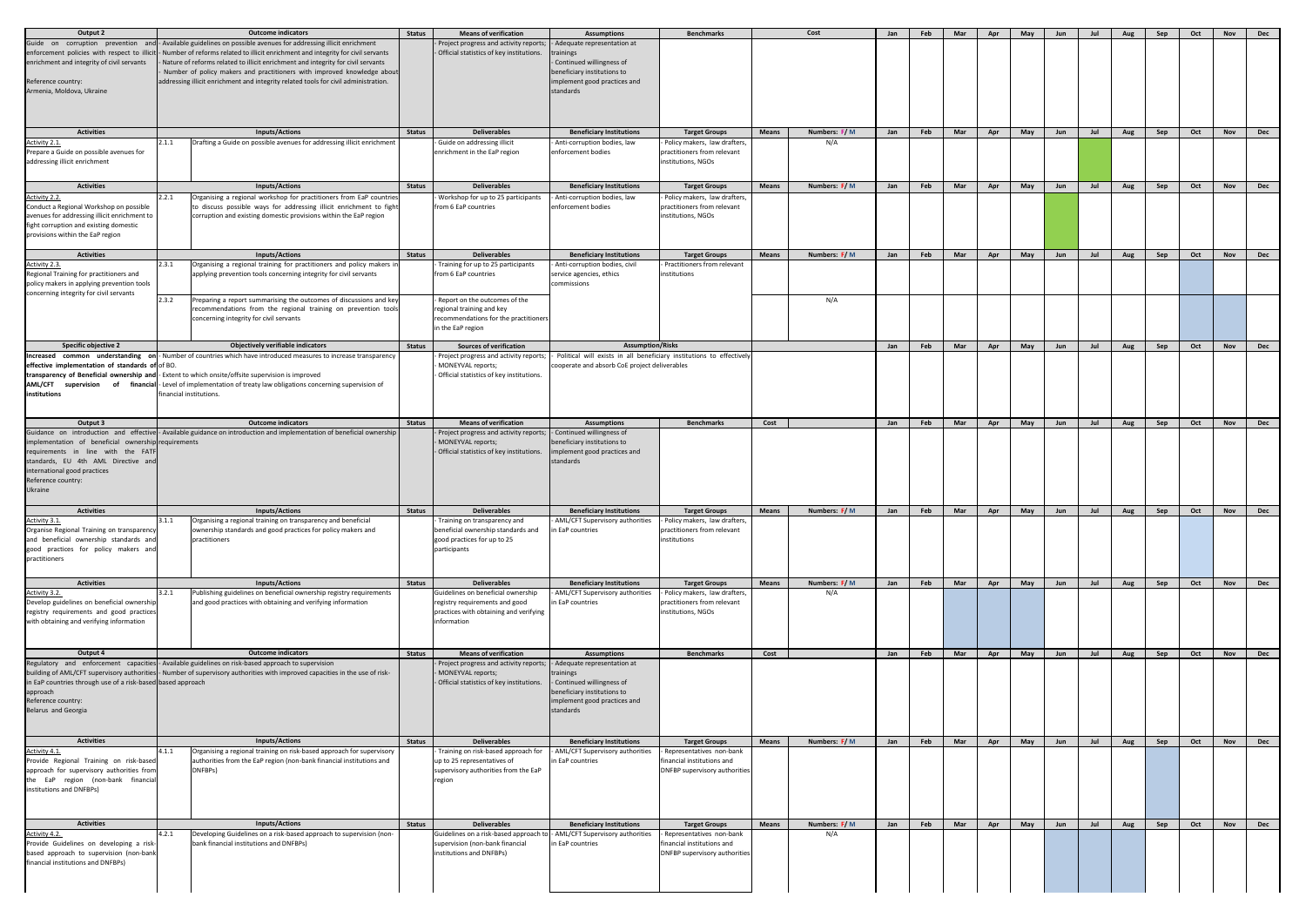| Output 2                                                                        |       | <b>Outcome indicators</b>                                                                                                                      | <b>Status</b> | <b>Means of verification</b>                               | <b>Assumptions</b>                                                   | <b>Benchmarks</b>                                     |              | Cost                | Jan        | Feb | Mar | Apr | May | Jun | Jul | Aug | Sep | Oct | <b>Nov</b> | <b>Dec</b> |
|---------------------------------------------------------------------------------|-------|------------------------------------------------------------------------------------------------------------------------------------------------|---------------|------------------------------------------------------------|----------------------------------------------------------------------|-------------------------------------------------------|--------------|---------------------|------------|-----|-----|-----|-----|-----|-----|-----|-----|-----|------------|------------|
| Guide on corruption prevention                                                  |       | and  - Available guidelines on possible avenues for addressing illicit enrichment                                                              |               | Project progress and activity reports;                     | - Adequate representation at                                         |                                                       |              |                     |            |     |     |     |     |     |     |     |     |     |            |            |
|                                                                                 |       | enforcement policies with respect to illicit - Number of reforms related to illicit enrichment and integrity for civil servants                |               | - Official statistics of key institutions.                 | trainings                                                            |                                                       |              |                     |            |     |     |     |     |     |     |     |     |     |            |            |
| enrichment and integrity of civil servants                                      |       | Nature of reforms related to illicit enrichment and integrity for civil servants                                                               |               |                                                            | - Continued willingness of                                           |                                                       |              |                     |            |     |     |     |     |     |     |     |     |     |            |            |
|                                                                                 |       | Number of policy makers and practitioners with improved knowledge about                                                                        |               |                                                            | beneficiary institutions to                                          |                                                       |              |                     |            |     |     |     |     |     |     |     |     |     |            |            |
| Reference country:                                                              |       | addressing illicit enrichment and integrity related tools for civil administration.                                                            |               |                                                            | implement good practices and                                         |                                                       |              |                     |            |     |     |     |     |     |     |     |     |     |            |            |
| Armenia, Moldova, Ukraine                                                       |       |                                                                                                                                                |               |                                                            | standards                                                            |                                                       |              |                     |            |     |     |     |     |     |     |     |     |     |            |            |
|                                                                                 |       |                                                                                                                                                |               |                                                            |                                                                      |                                                       |              |                     |            |     |     |     |     |     |     |     |     |     |            |            |
|                                                                                 |       |                                                                                                                                                |               |                                                            |                                                                      |                                                       |              |                     |            |     |     |     |     |     |     |     |     |     |            |            |
| <b>Activities</b>                                                               |       | <b>Inputs/Actions</b>                                                                                                                          | <b>Status</b> | <b>Deliverables</b>                                        | <b>Beneficiary Institutions</b>                                      |                                                       | <b>Means</b> | Numbers: F/M        | <b>Jan</b> | Feb | Mar |     |     |     | Jul |     |     |     |            |            |
| Activity 2.1.                                                                   | 2.1.1 | Drafting a Guide on possible avenues for addressing illicit enrichment                                                                         |               | - Guide on addressing illicit                              | - Anti-corruption bodies, law                                        | <b>Target Groups</b><br>- Policy makers, law drafters |              | N/A                 |            |     |     | Apr | May | Jun |     | Aug | Sep | Oct | <b>Nov</b> | <b>Dec</b> |
| Prepare a Guide on possible avenues for                                         |       |                                                                                                                                                |               | enrichment in the EaP region                               | enforcement bodies                                                   | practitioners from relevant                           |              |                     |            |     |     |     |     |     |     |     |     |     |            |            |
| addressing illicit enrichment                                                   |       |                                                                                                                                                |               |                                                            |                                                                      | institutions, NGOs                                    |              |                     |            |     |     |     |     |     |     |     |     |     |            |            |
|                                                                                 |       |                                                                                                                                                |               |                                                            |                                                                      |                                                       |              |                     |            |     |     |     |     |     |     |     |     |     |            |            |
| <b>Activities</b>                                                               |       | <b>Inputs/Actions</b>                                                                                                                          | <b>Status</b> | <b>Deliverables</b>                                        | <b>Beneficiary Institutions</b>                                      | <b>Target Groups</b>                                  | <b>Means</b> | Numbers: F/M        | Jan        | Feb | Mar | Apr | May | Jun | Jul | Aug | Sep | Oct | <b>Nov</b> | <b>Dec</b> |
| Activity 2.2.                                                                   | 2.2.1 | Organising a regional workshop for practitioners from EaP countries                                                                            |               | Workshop for up to 25 participants                         | Anti-corruption bodies, law                                          | Policy makers, law drafters                           |              |                     |            |     |     |     |     |     |     |     |     |     |            |            |
| Conduct a Regional Workshop on possible                                         |       | to discuss possible ways for addressing illicit enrichment to fight                                                                            |               | from 6 EaP countries                                       | enforcement bodies                                                   | practitioners from relevant                           |              |                     |            |     |     |     |     |     |     |     |     |     |            |            |
| avenues for addressing illicit enrichment to                                    |       | corruption and existing domestic provisions within the EaP region                                                                              |               |                                                            |                                                                      | institutions, NGOs                                    |              |                     |            |     |     |     |     |     |     |     |     |     |            |            |
| fight corruption and existing domestic                                          |       |                                                                                                                                                |               |                                                            |                                                                      |                                                       |              |                     |            |     |     |     |     |     |     |     |     |     |            |            |
| provisions within the EaP region                                                |       |                                                                                                                                                |               |                                                            |                                                                      |                                                       |              |                     |            |     |     |     |     |     |     |     |     |     |            |            |
|                                                                                 |       |                                                                                                                                                |               |                                                            |                                                                      |                                                       |              |                     |            |     |     |     |     |     |     |     |     |     |            |            |
| <b>Activities</b>                                                               |       | <b>Inputs/Actions</b>                                                                                                                          | <b>Status</b> | <b>Deliverables</b>                                        | <b>Beneficiary Institutions</b>                                      | <b>Target Groups</b>                                  | <b>Means</b> | Numbers: F/M        | <b>Jan</b> | Feb | Mar | Apr | May | Jun | Jul | Aug | Sep | Oct | <b>Nov</b> | <b>Dec</b> |
| Activity 2.3.<br>Regional Training for practitioners and                        | 2.3.1 | Organising a regional training for practitioners and policy makers in<br>applying prevention tools concerning integrity for civil servants     |               | Training for up to 25 participants<br>from 6 EaP countries | - Anti-corruption bodies, civil<br>service agencies, ethics          | - Practitioners from relevant<br>institutions         |              |                     |            |     |     |     |     |     |     |     |     |     |            |            |
| policy makers in applying prevention tools                                      |       |                                                                                                                                                |               |                                                            | commissions                                                          |                                                       |              |                     |            |     |     |     |     |     |     |     |     |     |            |            |
| concerning integrity for civil servants                                         |       |                                                                                                                                                |               |                                                            |                                                                      |                                                       |              |                     |            |     |     |     |     |     |     |     |     |     |            |            |
|                                                                                 | 2.3.2 | Preparing a report summarising the outcomes of discussions and key                                                                             |               | Report on the outcomes of the                              |                                                                      |                                                       |              | N/A                 |            |     |     |     |     |     |     |     |     |     |            |            |
|                                                                                 |       | recommendations from the regional training on prevention tools                                                                                 |               | regional training and key                                  |                                                                      |                                                       |              |                     |            |     |     |     |     |     |     |     |     |     |            |            |
|                                                                                 |       | concerning integrity for civil servants                                                                                                        |               | recommendations for the practitioners<br>in the EaP region |                                                                      |                                                       |              |                     |            |     |     |     |     |     |     |     |     |     |            |            |
|                                                                                 |       |                                                                                                                                                |               |                                                            |                                                                      |                                                       |              |                     |            |     |     |     |     |     |     |     |     |     |            |            |
| <b>Specific objective 2</b>                                                     |       | <b>Objectively verifiable indicators</b>                                                                                                       | <b>Status</b> | <b>Sources of verification</b>                             | <b>Assumption/Risks</b>                                              |                                                       |              |                     | Jan        | Feb | Mar | Apr | May | Jun | Jul | Aug | Sep | Oct | <b>Nov</b> | <b>Dec</b> |
|                                                                                 |       | $\blacksquare$ Increased common understanding on $\blacksquare$ . Number of countries which have introduced measures to increase transparency  |               | Project progress and activity reports;                     | Political will exists in all beneficiary institutions to effectively |                                                       |              |                     |            |     |     |     |     |     |     |     |     |     |            |            |
| effective implementation of standards of of BO.                                 |       |                                                                                                                                                |               | MONEYVAL reports;                                          | cooperate and absorb CoE project deliverables                        |                                                       |              |                     |            |     |     |     |     |     |     |     |     |     |            |            |
|                                                                                 |       | transparency of Beneficial ownership and - Extent to which onsite/offsite supervision is improved                                              |               | - Official statistics of key institutions.                 |                                                                      |                                                       |              |                     |            |     |     |     |     |     |     |     |     |     |            |            |
| institutions                                                                    |       | <b>AML/CFT</b> supervision of financial-Level of implementation of treaty law obligations concerning supervision of<br>financial institutions. |               |                                                            |                                                                      |                                                       |              |                     |            |     |     |     |     |     |     |     |     |     |            |            |
|                                                                                 |       |                                                                                                                                                |               |                                                            |                                                                      |                                                       |              |                     |            |     |     |     |     |     |     |     |     |     |            |            |
|                                                                                 |       |                                                                                                                                                |               |                                                            |                                                                      |                                                       |              |                     |            |     |     |     |     |     |     |     |     |     |            |            |
| Output 3                                                                        |       | <b>Outcome indicators</b>                                                                                                                      | <b>Status</b> | <b>Means of verification</b>                               | <b>Assumptions</b>                                                   | <b>Benchmarks</b>                                     | Cost         |                     | Jan        | Feb | Mar | Apr | May | Jun | Jul | Aug | Sep | Oct | <b>Nov</b> | <b>Dec</b> |
|                                                                                 |       | Guidance on introduction and effective-Available guidance on introduction and implementation of beneficial ownership                           |               | Project progress and activity reports;                     | - Continued willingness of                                           |                                                       |              |                     |            |     |     |     |     |     |     |     |     |     |            |            |
| implementation of beneficial ownership requirements                             |       |                                                                                                                                                |               | - MONEYVAL reports;                                        | beneficiary institutions to                                          |                                                       |              |                     |            |     |     |     |     |     |     |     |     |     |            |            |
| requirements in line with the FATF                                              |       |                                                                                                                                                |               | - Official statistics of key institutions.                 | implement good practices and                                         |                                                       |              |                     |            |     |     |     |     |     |     |     |     |     |            |            |
| standards, EU 4th AML Directive and<br>international good practices             |       |                                                                                                                                                |               |                                                            | standards                                                            |                                                       |              |                     |            |     |     |     |     |     |     |     |     |     |            |            |
| Reference country:                                                              |       |                                                                                                                                                |               |                                                            |                                                                      |                                                       |              |                     |            |     |     |     |     |     |     |     |     |     |            |            |
| Ukraine                                                                         |       |                                                                                                                                                |               |                                                            |                                                                      |                                                       |              |                     |            |     |     |     |     |     |     |     |     |     |            |            |
|                                                                                 |       |                                                                                                                                                |               |                                                            |                                                                      |                                                       |              |                     |            |     |     |     |     |     |     |     |     |     |            |            |
| <b>Activities</b>                                                               |       | <b>Inputs/Actions</b>                                                                                                                          | <b>Status</b> | <b>Deliverables</b>                                        | <b>Beneficiary Institutions</b>                                      | <b>Target Groups</b>                                  | <b>Means</b> | Numbers: F/M        | Jan        | Feb | Mar | Apr | May | Jun | Jul | Aug | Sep | Oct | <b>Nov</b> | <b>Dec</b> |
| Activity 3.1.                                                                   | 3.1.1 | Organising a regional training on transparency and beneficial                                                                                  |               | Training on transparency and                               | - AML/CFT Supervisory authorities                                    | Policy makers, law drafters                           |              |                     |            |     |     |     |     |     |     |     |     |     |            |            |
| Organise Regional Training on transparency                                      |       | ownership standards and good practices for policy makers and                                                                                   |               | beneficial ownership standards and                         | n EaP countries                                                      | practitioners from relevant                           |              |                     |            |     |     |     |     |     |     |     |     |     |            |            |
| and beneficial ownership standards and<br>good practices for policy makers and  |       | practitioners                                                                                                                                  |               | good practices for up to 25<br>participants                |                                                                      | nstitutions                                           |              |                     |            |     |     |     |     |     |     |     |     |     |            |            |
| practitioners                                                                   |       |                                                                                                                                                |               |                                                            |                                                                      |                                                       |              |                     |            |     |     |     |     |     |     |     |     |     |            |            |
|                                                                                 |       |                                                                                                                                                |               |                                                            |                                                                      |                                                       |              |                     |            |     |     |     |     |     |     |     |     |     |            |            |
| <b>Activities</b>                                                               |       |                                                                                                                                                |               |                                                            |                                                                      |                                                       |              |                     |            |     |     |     |     |     |     |     |     |     |            |            |
|                                                                                 | 3.2.1 | <b>Inputs/Actions</b><br>Publishing guidelines on beneficial ownership registry requirements                                                   | <b>Status</b> | <b>Deliverables</b><br>Guidelines on beneficial ownership  | <b>Beneficiary Institutions</b><br>AML/CFT Supervisory authorities   | <b>Target Groups</b><br>Policy makers, law drafters   | <b>Means</b> | Numbers: F/M<br>N/A | Jan        | Feb | Mar | Apr | May | Jun | Jul | Aug | Sep | Oct | <b>Nov</b> | <b>Dec</b> |
| Activity 3.2.<br>Develop guidelines on beneficial ownership                     |       | and good practices with obtaining and verifying information                                                                                    |               | registry requirements and good                             | in EaP countries                                                     | practitioners from relevant                           |              |                     |            |     |     |     |     |     |     |     |     |     |            |            |
| registry requirements and good practices                                        |       |                                                                                                                                                |               | practices with obtaining and verifying                     |                                                                      | institutions, NGOs                                    |              |                     |            |     |     |     |     |     |     |     |     |     |            |            |
| with obtaining and verifying information                                        |       |                                                                                                                                                |               | linformation                                               |                                                                      |                                                       |              |                     |            |     |     |     |     |     |     |     |     |     |            |            |
|                                                                                 |       |                                                                                                                                                |               |                                                            |                                                                      |                                                       |              |                     |            |     |     |     |     |     |     |     |     |     |            |            |
|                                                                                 |       |                                                                                                                                                |               |                                                            |                                                                      |                                                       |              |                     |            |     |     |     |     |     |     |     |     |     |            |            |
| Output 4                                                                        |       | <b>Outcome indicators</b>                                                                                                                      | <b>Status</b> | <b>Means of verification</b>                               | <b>Assumptions</b>                                                   | <b>Benchmarks</b>                                     | Cost         |                     | Jan        | Feb | Mar | Apr | May | Jun | Jul | Aug | Sep | Oct | <b>Nov</b> | Dec        |
|                                                                                 |       | Regulatory and enforcement capacities - Available guidelines on risk-based approach to supervision                                             |               | Project progress and activity reports;                     | - Adequate representation at                                         |                                                       |              |                     |            |     |     |     |     |     |     |     |     |     |            |            |
|                                                                                 |       | building of AML/CFT supervisory authorities - Number of supervisory authorities with improved capacities in the use of risk-                   |               | MONEYVAL reports;                                          | <b>trainings</b>                                                     |                                                       |              |                     |            |     |     |     |     |     |     |     |     |     |            |            |
| in EaP countries through use of a risk-based based approach                     |       |                                                                                                                                                |               | - Official statistics of key institutions.                 | - Continued willingness of                                           |                                                       |              |                     |            |     |     |     |     |     |     |     |     |     |            |            |
| approach<br>Reference country:                                                  |       |                                                                                                                                                |               |                                                            | beneficiary institutions to<br>implement good practices and          |                                                       |              |                     |            |     |     |     |     |     |     |     |     |     |            |            |
| <b>Belarus and Georgia</b>                                                      |       |                                                                                                                                                |               |                                                            | standards                                                            |                                                       |              |                     |            |     |     |     |     |     |     |     |     |     |            |            |
|                                                                                 |       |                                                                                                                                                |               |                                                            |                                                                      |                                                       |              |                     |            |     |     |     |     |     |     |     |     |     |            |            |
|                                                                                 |       |                                                                                                                                                |               |                                                            |                                                                      |                                                       |              |                     |            |     |     |     |     |     |     |     |     |     |            |            |
| <b>Activities</b>                                                               |       | <b>Inputs/Actions</b>                                                                                                                          | <b>Status</b> | <b>Deliverables</b>                                        | <b>Beneficiary Institutions</b>                                      | <b>Target Groups</b>                                  | <b>Means</b> | Numbers: F/M        | Jan        | Feb | Mar | Apr | May | Jun | Jul | Aug | Sep | Oct | <b>Nov</b> | <b>Dec</b> |
| Activity 4.1.                                                                   | 4.1.1 | Organising a regional training on risk-based approach for supervisory                                                                          |               | Training on risk-based approach for                        | - AML/CFT Supervisory authorities                                    | Representatives non-bank                              |              |                     |            |     |     |     |     |     |     |     |     |     |            |            |
| Provide Regional Training on risk-based                                         |       | authorities from the EaP region (non-bank financial institutions and                                                                           |               | up to 25 representatives of                                | in EaP countries                                                     | financial institutions and                            |              |                     |            |     |     |     |     |     |     |     |     |     |            |            |
| approach for supervisory authorities from<br>the EaP region (non-bank financial |       | DNFBPs)                                                                                                                                        |               | supervisory authorities from the EaP                       |                                                                      | DNFBP supervisory authorities                         |              |                     |            |     |     |     |     |     |     |     |     |     |            |            |
| institutions and DNFBPs)                                                        |       |                                                                                                                                                |               | region                                                     |                                                                      |                                                       |              |                     |            |     |     |     |     |     |     |     |     |     |            |            |
|                                                                                 |       |                                                                                                                                                |               |                                                            |                                                                      |                                                       |              |                     |            |     |     |     |     |     |     |     |     |     |            |            |
|                                                                                 |       |                                                                                                                                                |               |                                                            |                                                                      |                                                       |              |                     |            |     |     |     |     |     |     |     |     |     |            |            |
| <b>Activities</b>                                                               |       | <b>Inputs/Actions</b>                                                                                                                          | <b>Status</b> | <b>Deliverables</b>                                        | <b>Beneficiary Institutions</b>                                      | <b>Target Groups</b>                                  | <b>Means</b> | Numbers: F/M        | Jan        | Feb | Mar | Apr | May | Jun | Jul | Aug | Sep | Oct | <b>Nov</b> | <b>Dec</b> |
| Activity 4.2.                                                                   | 4.2.1 | Developing Guidelines on a risk-based approach to supervision (non-                                                                            |               | Guidelines on a risk-based approach to                     | - AML/CFT Supervisory authorities                                    | Representatives non-bank                              |              | N/A                 |            |     |     |     |     |     |     |     |     |     |            |            |
| Provide Guidelines on developing a risk-                                        |       | bank financial institutions and DNFBPs)                                                                                                        |               | supervision (non-bank financial                            | in EaP countries                                                     | inancial institutions and                             |              |                     |            |     |     |     |     |     |     |     |     |     |            |            |
| based approach to supervision (non-bank                                         |       |                                                                                                                                                |               | institutions and DNFBPs)                                   |                                                                      | DNFBP supervisory authorities                         |              |                     |            |     |     |     |     |     |     |     |     |     |            |            |
| financial institutions and DNFBPs)                                              |       |                                                                                                                                                |               |                                                            |                                                                      |                                                       |              |                     |            |     |     |     |     |     |     |     |     |     |            |            |
|                                                                                 |       |                                                                                                                                                |               |                                                            |                                                                      |                                                       |              |                     |            |     |     |     |     |     |     |     |     |     |            |            |
|                                                                                 |       |                                                                                                                                                |               |                                                            |                                                                      |                                                       |              |                     |            |     |     |     |     |     |     |     |     |     |            |            |